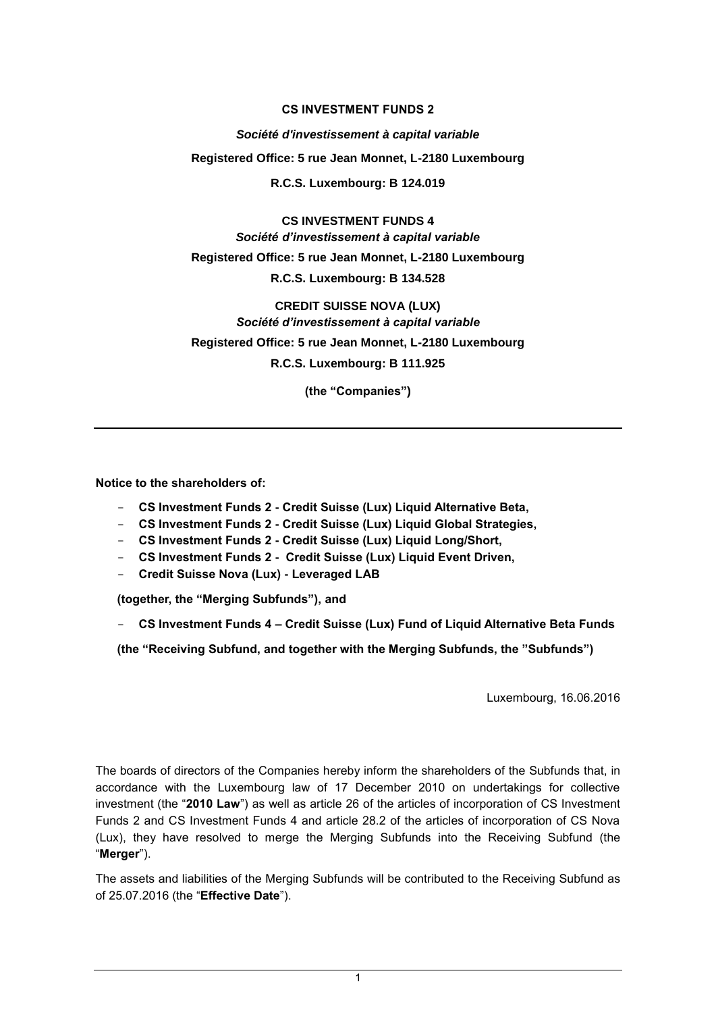## **CS INVESTMENT FUNDS 2**

*Société d'investissement à capital variable* **Registered Office: 5 rue Jean Monnet, L-2180 Luxembourg R.C.S. Luxembourg: B 124.019**

**CS INVESTMENT FUNDS 4**  *Société d'investissement à capital variable* **Registered Office: 5 rue Jean Monnet, L-2180 Luxembourg R.C.S. Luxembourg: B 134.528**

**CREDIT SUISSE NOVA (LUX)** *Société d'investissement à capital variable*  **Registered Office: 5 rue Jean Monnet, L-2180 Luxembourg R.C.S. Luxembourg: B 111.925**

**(the "Companies")**

**Notice to the shareholders of:**

- **CS Investment Funds 2 - Credit Suisse (Lux) Liquid Alternative Beta,**
- **CS Investment Funds 2 - Credit Suisse (Lux) Liquid Global Strategies,**
- **CS Investment Funds 2 - Credit Suisse (Lux) Liquid Long/Short,**
- **CS Investment Funds 2 Credit Suisse (Lux) Liquid Event Driven,**
- **Credit Suisse Nova (Lux) - Leveraged LAB**

**(together, the "Merging Subfunds"), and** 

- **CS Investment Funds 4 – Credit Suisse (Lux) Fund of Liquid Alternative Beta Funds** 

**(the "Receiving Subfund, and together with the Merging Subfunds, the "Subfunds")**

Luxembourg, 16.06.2016

The boards of directors of the Companies hereby inform the shareholders of the Subfunds that, in accordance with the Luxembourg law of 17 December 2010 on undertakings for collective investment (the "**2010 Law**") as well as article 26 of the articles of incorporation of CS Investment Funds 2 and CS Investment Funds 4 and article 28.2 of the articles of incorporation of CS Nova (Lux), they have resolved to merge the Merging Subfunds into the Receiving Subfund (the "**Merger**").

The assets and liabilities of the Merging Subfunds will be contributed to the Receiving Subfund as of 25.07.2016 (the "**Effective Date**").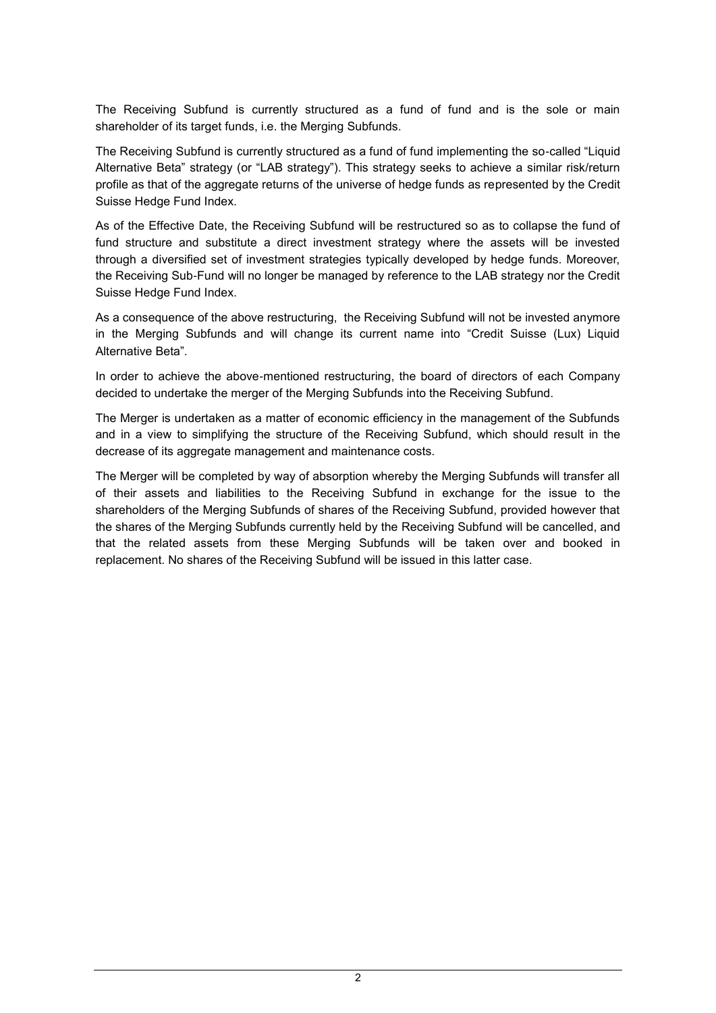The Receiving Subfund is currently structured as a fund of fund and is the sole or main shareholder of its target funds, i.e. the Merging Subfunds.

The Receiving Subfund is currently structured as a fund of fund implementing the so-called "Liquid Alternative Beta" strategy (or "LAB strategy"). This strategy seeks to achieve a similar risk/return profile as that of the aggregate returns of the universe of hedge funds as represented by the Credit Suisse Hedge Fund Index.

As of the Effective Date, the Receiving Subfund will be restructured so as to collapse the fund of fund structure and substitute a direct investment strategy where the assets will be invested through a diversified set of investment strategies typically developed by hedge funds. Moreover, the Receiving Sub-Fund will no longer be managed by reference to the LAB strategy nor the Credit Suisse Hedge Fund Index.

As a consequence of the above restructuring, the Receiving Subfund will not be invested anymore in the Merging Subfunds and will change its current name into "Credit Suisse (Lux) Liquid Alternative Beta".

In order to achieve the above-mentioned restructuring, the board of directors of each Company decided to undertake the merger of the Merging Subfunds into the Receiving Subfund.

The Merger is undertaken as a matter of economic efficiency in the management of the Subfunds and in a view to simplifying the structure of the Receiving Subfund, which should result in the decrease of its aggregate management and maintenance costs.

The Merger will be completed by way of absorption whereby the Merging Subfunds will transfer all of their assets and liabilities to the Receiving Subfund in exchange for the issue to the shareholders of the Merging Subfunds of shares of the Receiving Subfund, provided however that the shares of the Merging Subfunds currently held by the Receiving Subfund will be cancelled, and that the related assets from these Merging Subfunds will be taken over and booked in replacement. No shares of the Receiving Subfund will be issued in this latter case.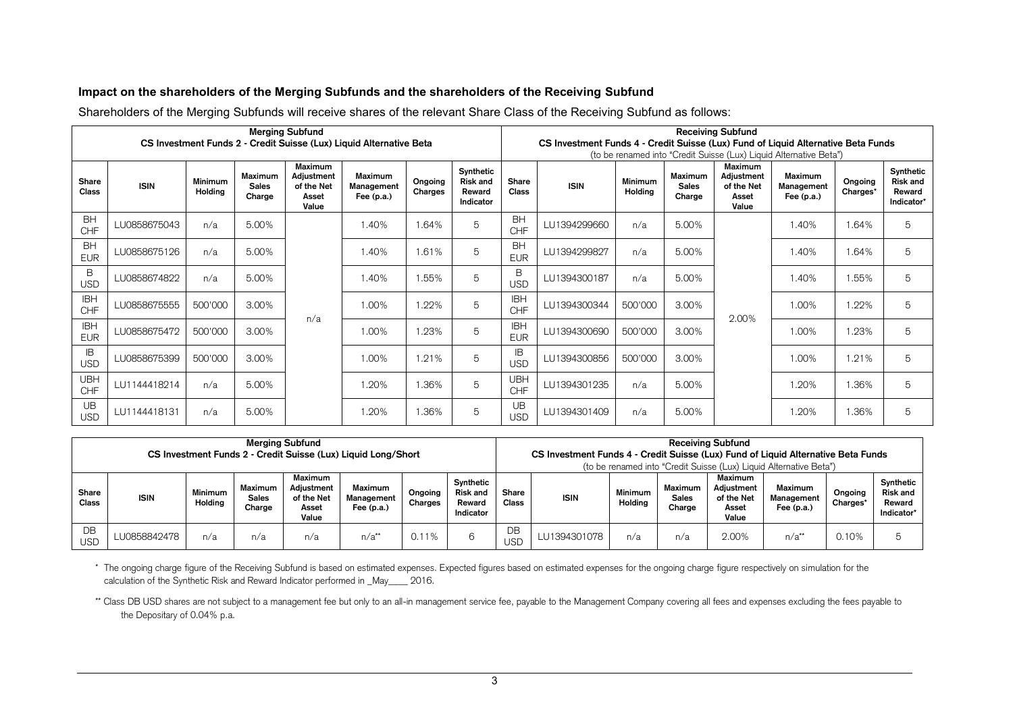## **Impact on the shareholders of the Merging Subfunds and the shareholders of the Receiving Subfund**

Shareholders of the Merging Subfunds will receive shares of the relevant Share Class of the Receiving Subfund as follows:

| <b>Merging Subfund</b><br>CS Investment Funds 2 - Credit Suisse (Lux) Liquid Alternative Beta |              |                           |                                   |                                                              |                                       |                    |                                                     | <b>Receiving Subfund</b><br>CS Investment Funds 4 - Credit Suisse (Lux) Fund of Liquid Alternative Beta Funds |              |                    |                                          |                                                       |                                                                                                             |                     |                                                      |   |
|-----------------------------------------------------------------------------------------------|--------------|---------------------------|-----------------------------------|--------------------------------------------------------------|---------------------------------------|--------------------|-----------------------------------------------------|---------------------------------------------------------------------------------------------------------------|--------------|--------------------|------------------------------------------|-------------------------------------------------------|-------------------------------------------------------------------------------------------------------------|---------------------|------------------------------------------------------|---|
| Share<br>Class                                                                                | <b>ISIN</b>  | <b>Minimum</b><br>Holdina | Maximum<br><b>Sales</b><br>Charge | <b>Maximum</b><br>Adjustment<br>of the Net<br>Asset<br>Value | Maximum<br>Management<br>Fee $(p.a.)$ | Ongoing<br>Charges | Synthetic<br><b>Risk and</b><br>Reward<br>Indicator | Share<br><b>Class</b>                                                                                         | <b>ISIN</b>  | Minimum<br>Holdina | <b>Maximum</b><br><b>Sales</b><br>Charge | Maximum<br>Adiustment<br>of the Net<br>Asset<br>Value | (to be renamed into "Credit Suisse (Lux) Liquid Alternative Beta")<br>Maximum<br>Management<br>Fee $(p.a.)$ | Ongoing<br>Charges* | Synthetic<br><b>Risk and</b><br>Reward<br>Indicator* |   |
| <b>BH</b><br>CHF                                                                              | LU0858675043 | n/a                       | 5.00%                             |                                                              | 1.40%                                 | 1.64%              | 5                                                   | <b>BH</b><br><b>CHF</b>                                                                                       | LU1394299660 | n/a                | 5.00%                                    |                                                       |                                                                                                             | 1.40%               | .64%                                                 | 5 |
| <b>BH</b><br><b>EUR</b>                                                                       | LU0858675126 | n/a                       | 5.00%                             |                                                              | 1.40%                                 | 1.61%              | 5                                                   | <b>BH</b><br><b>EUR</b>                                                                                       | LU1394299827 | n/a                | 5.00%                                    |                                                       | 1.40%                                                                                                       | .64%                | 5                                                    |   |
| B<br><b>USD</b>                                                                               | LU0858674822 | n/a                       | 5.00%                             |                                                              | 1.40%                                 | 1.55%              | 5                                                   | B<br><b>USD</b>                                                                                               | LU1394300187 | n/a                | 5.00%                                    |                                                       | 1.40%                                                                                                       | .55%                | 5                                                    |   |
| <b>IBH</b><br>CHF                                                                             | LU0858675555 | 500'000                   | 3.00%                             |                                                              | 1.00%                                 | 1.22%              | $\overline{5}$                                      | <b>IBH</b><br><b>CHF</b>                                                                                      | LU1394300344 | 500'000            | 3.00%                                    | 2.00%                                                 | 1.00%                                                                                                       | .22%                | 5                                                    |   |
| <b>IBH</b><br><b>EUR</b>                                                                      | LU0858675472 | 500'000                   | 3.00%                             | n/a                                                          | 1.00%                                 | 1.23%              | 5                                                   | <b>IBH</b><br><b>EUR</b>                                                                                      | LU1394300690 | 500'000            | 3.00%                                    |                                                       | 1.00%                                                                                                       | .23%                | 5                                                    |   |
| <b>IB</b><br><b>USD</b>                                                                       | LU0858675399 | 500'000                   | 3.00%                             |                                                              | 1.00%                                 | 1.21%              | 5                                                   | IB.<br><b>USD</b>                                                                                             | LU1394300856 | 500'000            | 3.00%                                    |                                                       | 1.00%                                                                                                       | 1.21%               | 5                                                    |   |
| <b>UBH</b><br>CHF                                                                             | LU1144418214 | n/a                       | 5.00%                             |                                                              | 1.20%                                 | 1.36%              | 5                                                   | <b>UBH</b><br><b>CHF</b>                                                                                      | LU1394301235 | n/a                | 5.00%                                    |                                                       | 1.20%                                                                                                       | .36%                | 5                                                    |   |
| UB<br><b>USD</b>                                                                              | LU1144418131 | n/a                       | 5.00%                             |                                                              | .20%                                  | 1.36%              | 5                                                   | <b>UB</b><br><b>USD</b>                                                                                       | LU1394301409 | n/a                | 5.00%                                    |                                                       | .20%                                                                                                        | .36%                | 5                                                    |   |

| <b>Merging Subfund</b><br>CS Investment Funds 2 - Credit Suisse (Lux) Liquid Long/Short |              |                           |                                   |                                                       |                                       |                    | <b>Receiving Subfund</b><br>CS Investment Funds 4 - Credit Suisse (Lux) Fund of Liquid Alternative Beta Funds<br>(to be renamed into "Credit Suisse (Lux) Liquid Alternative Beta") |                       |              |                           |                                   |                                                       |                                              |                     |                                                      |
|-----------------------------------------------------------------------------------------|--------------|---------------------------|-----------------------------------|-------------------------------------------------------|---------------------------------------|--------------------|-------------------------------------------------------------------------------------------------------------------------------------------------------------------------------------|-----------------------|--------------|---------------------------|-----------------------------------|-------------------------------------------------------|----------------------------------------------|---------------------|------------------------------------------------------|
| Share<br>Class                                                                          | <b>ISIN</b>  | <b>Minimum</b><br>Holdina | Maximum<br><b>Sales</b><br>Charge | Maximum<br>Adiustment<br>of the Net<br>Asset<br>Value | Maximum<br>Management<br>Fee $(p.a.)$ | Ongoing<br>Charges | Synthetic<br><b>Risk and</b><br>Reward<br>Indicator                                                                                                                                 | Share<br><b>Class</b> | <b>ISIN</b>  | <b>Minimum</b><br>Holdina | Maximum<br><b>Sales</b><br>Charge | Maximum<br>Adjustment<br>of the Net<br>Asset<br>Value | <b>Maximum</b><br>Management<br>Fee $(p.a.)$ | Ongoing<br>Charges' | Synthetic<br><b>Risk and</b><br>Reward<br>Indicator* |
| DB<br><b>USD</b>                                                                        | LU0858842478 | n/a                       | n/a                               | n/a                                                   | $n/a^{**}$                            | 0.11%              |                                                                                                                                                                                     | DB<br><b>USD</b>      | LU1394301078 | n/a                       | n/a                               | 2.00%                                                 | $n/a^{**}$                                   | 0.10%               |                                                      |

\* The ongoing charge figure of the Receiving Subfund is based on estimated expenses. Expected figures based on estimated expenses for the ongoing charge figure respectively on simulation for the calculation of the Synthetic Risk and Reward Indicator performed in \_May\_\_\_\_ 2016.

\*\* Class DB USD shares are not subject to a management fee but only to an all-in management service fee, payable to the Management Company covering all fees and expenses excluding the fees payable to the Depositary of 0.04% p.a.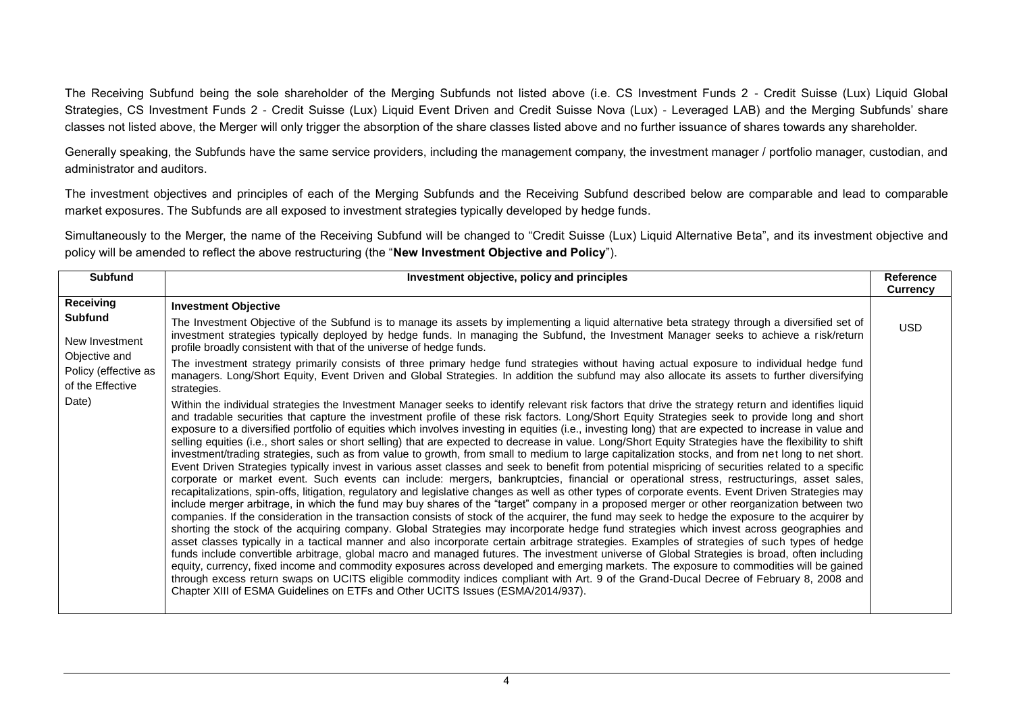The Receiving Subfund being the sole shareholder of the Merging Subfunds not listed above (i.e. CS Investment Funds 2 - Credit Suisse (Lux) Liquid Global Strategies, CS Investment Funds 2 - Credit Suisse (Lux) Liquid Event Driven and Credit Suisse Nova (Lux) - Leveraged LAB) and the Merging Subfunds' share classes not listed above, the Merger will only trigger the absorption of the share classes listed above and no further issuance of shares towards any shareholder.

Generally speaking, the Subfunds have the same service providers, including the management company, the investment manager / portfolio manager, custodian, and administrator and auditors.

The investment objectives and principles of each of the Merging Subfunds and the Receiving Subfund described below are comparable and lead to comparable market exposures. The Subfunds are all exposed to investment strategies typically developed by hedge funds.

Simultaneously to the Merger, the name of the Receiving Subfund will be changed to "Credit Suisse (Lux) Liquid Alternative Beta", and its investment objective and policy will be amended to reflect the above restructuring (the "**New Investment Objective and Policy**").

| <b>Subfund</b>                                                                                               | Investment objective, policy and principles                                                                                                                                                                                                                                                                                                                                                                                                                                                                                                                                                                                                                                                                                                                                                                                                                                                                                                                                                                                                                                                                                                                                                                                                                                                                                                                                                                                                                                                                                                                                                                                                                                                                                                                                                                                                                                                                                                                                                                                                                                                                                                                                                                                                                                                                                                                                                                                                                                                                                                                                                                                                                                                                                                                                                                                                                                                                                                                                                                                                                                               | Reference<br><b>Currency</b> |
|--------------------------------------------------------------------------------------------------------------|-------------------------------------------------------------------------------------------------------------------------------------------------------------------------------------------------------------------------------------------------------------------------------------------------------------------------------------------------------------------------------------------------------------------------------------------------------------------------------------------------------------------------------------------------------------------------------------------------------------------------------------------------------------------------------------------------------------------------------------------------------------------------------------------------------------------------------------------------------------------------------------------------------------------------------------------------------------------------------------------------------------------------------------------------------------------------------------------------------------------------------------------------------------------------------------------------------------------------------------------------------------------------------------------------------------------------------------------------------------------------------------------------------------------------------------------------------------------------------------------------------------------------------------------------------------------------------------------------------------------------------------------------------------------------------------------------------------------------------------------------------------------------------------------------------------------------------------------------------------------------------------------------------------------------------------------------------------------------------------------------------------------------------------------------------------------------------------------------------------------------------------------------------------------------------------------------------------------------------------------------------------------------------------------------------------------------------------------------------------------------------------------------------------------------------------------------------------------------------------------------------------------------------------------------------------------------------------------------------------------------------------------------------------------------------------------------------------------------------------------------------------------------------------------------------------------------------------------------------------------------------------------------------------------------------------------------------------------------------------------------------------------------------------------------------------------------------------------|------------------------------|
| Receiving<br>Subfund<br>New Investment<br>Objective and<br>Policy (effective as<br>of the Effective<br>Date) | <b>Investment Objective</b><br>The Investment Objective of the Subfund is to manage its assets by implementing a liquid alternative beta strategy through a diversified set of<br>investment strategies typically deployed by hedge funds. In managing the Subfund, the Investment Manager seeks to achieve a risk/return<br>profile broadly consistent with that of the universe of hedge funds.<br>The investment strategy primarily consists of three primary hedge fund strategies without having actual exposure to individual hedge fund<br>managers. Long/Short Equity, Event Driven and Global Strategies. In addition the subfund may also allocate its assets to further diversifying<br>strategies.<br>Within the individual strategies the Investment Manager seeks to identify relevant risk factors that drive the strategy return and identifies liquid<br>and tradable securities that capture the investment profile of these risk factors. Long/Short Equity Strategies seek to provide long and short<br>exposure to a diversified portfolio of equities which involves investing in equities (i.e., investing long) that are expected to increase in value and<br>selling equities (i.e., short sales or short selling) that are expected to decrease in value. Long/Short Equity Strategies have the flexibility to shift<br>investment/trading strategies, such as from value to growth, from small to medium to large capitalization stocks, and from net long to net short.<br>Event Driven Strategies typically invest in various asset classes and seek to benefit from potential mispricing of securities related to a specific<br>corporate or market event. Such events can include: mergers, bankruptcies, financial or operational stress, restructurings, asset sales,<br>recapitalizations, spin-offs, litigation, regulatory and legislative changes as well as other types of corporate events. Event Driven Strategies may<br>include merger arbitrage, in which the fund may buy shares of the "target" company in a proposed merger or other reorganization between two<br>companies. If the consideration in the transaction consists of stock of the acquirer, the fund may seek to hedge the exposure to the acquirer by<br>shorting the stock of the acquiring company. Global Strategies may incorporate hedge fund strategies which invest across geographies and<br>asset classes typically in a tactical manner and also incorporate certain arbitrage strategies. Examples of strategies of such types of hedge<br>funds include convertible arbitrage, global macro and managed futures. The investment universe of Global Strategies is broad, often including<br>equity, currency, fixed income and commodity exposures across developed and emerging markets. The exposure to commodities will be gained<br>through excess return swaps on UCITS eligible commodity indices compliant with Art. 9 of the Grand-Ducal Decree of February 8, 2008 and<br>Chapter XIII of ESMA Guidelines on ETFs and Other UCITS Issues (ESMA/2014/937). | <b>USD</b>                   |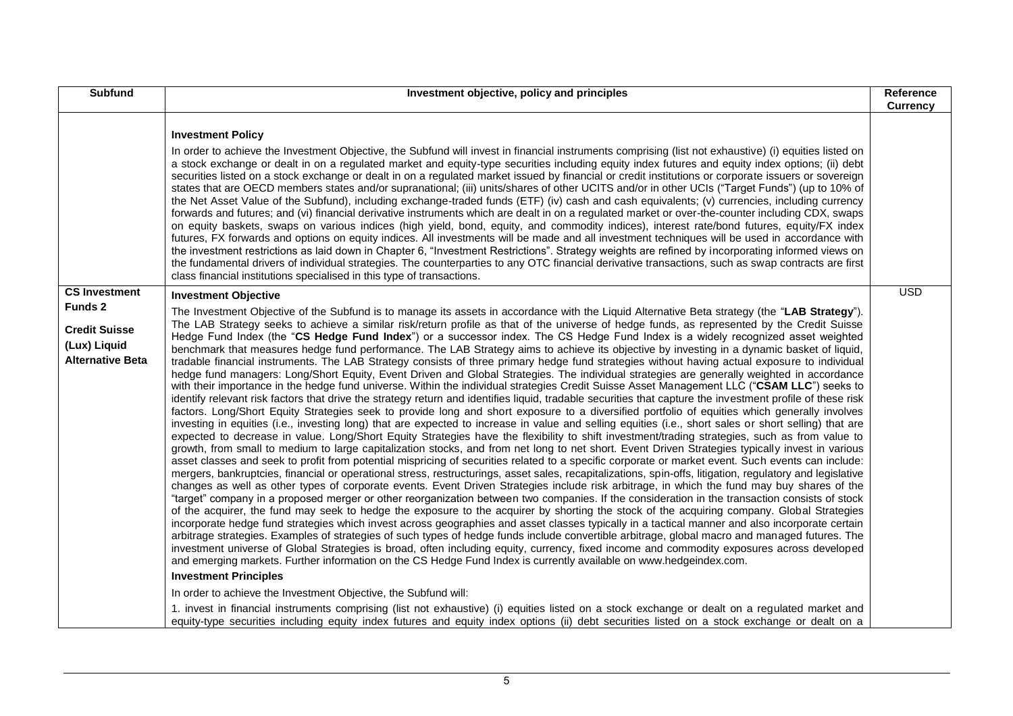|                                                                                                    | Investment objective, policy and principles                                                                                                                                                                                                                                                                                                                                                                                                                                                                                                                                                                                                                                                                                                                                                                                                                                                                                                                                                                                                                                                                                                                                                                                                                                                                                                                                                                                                                                                                                                                                                                                                                                                                                                                                                                                                                                                                                                                                                                                                                                                                                                                                                                                                                                                                                                                                                                                                                                                                                                                                                                                                                                                                                                                                                                                                                                                                                                                                                                                                                                                                                                                                                                                                                                                                                                                                                                                                |            |  |
|----------------------------------------------------------------------------------------------------|--------------------------------------------------------------------------------------------------------------------------------------------------------------------------------------------------------------------------------------------------------------------------------------------------------------------------------------------------------------------------------------------------------------------------------------------------------------------------------------------------------------------------------------------------------------------------------------------------------------------------------------------------------------------------------------------------------------------------------------------------------------------------------------------------------------------------------------------------------------------------------------------------------------------------------------------------------------------------------------------------------------------------------------------------------------------------------------------------------------------------------------------------------------------------------------------------------------------------------------------------------------------------------------------------------------------------------------------------------------------------------------------------------------------------------------------------------------------------------------------------------------------------------------------------------------------------------------------------------------------------------------------------------------------------------------------------------------------------------------------------------------------------------------------------------------------------------------------------------------------------------------------------------------------------------------------------------------------------------------------------------------------------------------------------------------------------------------------------------------------------------------------------------------------------------------------------------------------------------------------------------------------------------------------------------------------------------------------------------------------------------------------------------------------------------------------------------------------------------------------------------------------------------------------------------------------------------------------------------------------------------------------------------------------------------------------------------------------------------------------------------------------------------------------------------------------------------------------------------------------------------------------------------------------------------------------------------------------------------------------------------------------------------------------------------------------------------------------------------------------------------------------------------------------------------------------------------------------------------------------------------------------------------------------------------------------------------------------------------------------------------------------------------------------------------------------|------------|--|
|                                                                                                    | <b>Investment Policy</b><br>In order to achieve the Investment Objective, the Subfund will invest in financial instruments comprising (list not exhaustive) (i) equities listed on<br>a stock exchange or dealt in on a regulated market and equity-type securities including equity index futures and equity index options; (ii) debt<br>securities listed on a stock exchange or dealt in on a regulated market issued by financial or credit institutions or corporate issuers or sovereign<br>states that are OECD members states and/or supranational; (iii) units/shares of other UCITS and/or in other UCIs ("Target Funds") (up to 10% of<br>the Net Asset Value of the Subfund), including exchange-traded funds (ETF) (iv) cash and cash equivalents; (v) currencies, including currency<br>forwards and futures; and (vi) financial derivative instruments which are dealt in on a regulated market or over-the-counter including CDX, swaps<br>on equity baskets, swaps on various indices (high yield, bond, equity, and commodity indices), interest rate/bond futures, equity/FX index<br>futures, FX forwards and options on equity indices. All investments will be made and all investment techniques will be used in accordance with<br>the investment restrictions as laid down in Chapter 6, "Investment Restrictions". Strategy weights are refined by incorporating informed views on<br>the fundamental drivers of individual strategies. The counterparties to any OTC financial derivative transactions, such as swap contracts are first<br>class financial institutions specialised in this type of transactions.                                                                                                                                                                                                                                                                                                                                                                                                                                                                                                                                                                                                                                                                                                                                                                                                                                                                                                                                                                                                                                                                                                                                                                                                                                                                                                                                                                                                                                                                                                                                                                                                                                                                                                                                                                                              |            |  |
| <b>CS Investment</b><br>Funds 2<br><b>Credit Suisse</b><br>(Lux) Liquid<br><b>Alternative Beta</b> | <b>Investment Objective</b><br>The Investment Objective of the Subfund is to manage its assets in accordance with the Liquid Alternative Beta strategy (the "LAB Strategy").<br>The LAB Strategy seeks to achieve a similar risk/return profile as that of the universe of hedge funds, as represented by the Credit Suisse<br>Hedge Fund Index (the "CS Hedge Fund Index") or a successor index. The CS Hedge Fund Index is a widely recognized asset weighted<br>benchmark that measures hedge fund performance. The LAB Strategy aims to achieve its objective by investing in a dynamic basket of liquid,<br>tradable financial instruments. The LAB Strategy consists of three primary hedge fund strategies without having actual exposure to individual<br>hedge fund managers: Long/Short Equity, Event Driven and Global Strategies. The individual strategies are generally weighted in accordance<br>with their importance in the hedge fund universe. Within the individual strategies Credit Suisse Asset Management LLC ("CSAM LLC") seeks to<br>identify relevant risk factors that drive the strategy return and identifies liquid, tradable securities that capture the investment profile of these risk<br>factors. Long/Short Equity Strategies seek to provide long and short exposure to a diversified portfolio of equities which generally involves<br>investing in equities (i.e., investing long) that are expected to increase in value and selling equities (i.e., short sales or short selling) that are<br>expected to decrease in value. Long/Short Equity Strategies have the flexibility to shift investment/trading strategies, such as from value to<br>growth, from small to medium to large capitalization stocks, and from net long to net short. Event Driven Strategies typically invest in various<br>asset classes and seek to profit from potential mispricing of securities related to a specific corporate or market event. Such events can include:<br>mergers, bankruptcies, financial or operational stress, restructurings, asset sales, recapitalizations, spin-offs, litigation, regulatory and legislative<br>changes as well as other types of corporate events. Event Driven Strategies include risk arbitrage, in which the fund may buy shares of the<br>"target" company in a proposed merger or other reorganization between two companies. If the consideration in the transaction consists of stock<br>of the acquirer, the fund may seek to hedge the exposure to the acquirer by shorting the stock of the acquiring company. Global Strategies<br>incorporate hedge fund strategies which invest across geographies and asset classes typically in a tactical manner and also incorporate certain<br>arbitrage strategies. Examples of strategies of such types of hedge funds include convertible arbitrage, global macro and managed futures. The<br>investment universe of Global Strategies is broad, often including equity, currency, fixed income and commodity exposures across developed<br>and emerging markets. Further information on the CS Hedge Fund Index is currently available on www.hedgeindex.com.<br><b>Investment Principles</b><br>In order to achieve the Investment Objective, the Subfund will:<br>1. invest in financial instruments comprising (list not exhaustive) (i) equities listed on a stock exchange or dealt on a regulated market and | <b>USD</b> |  |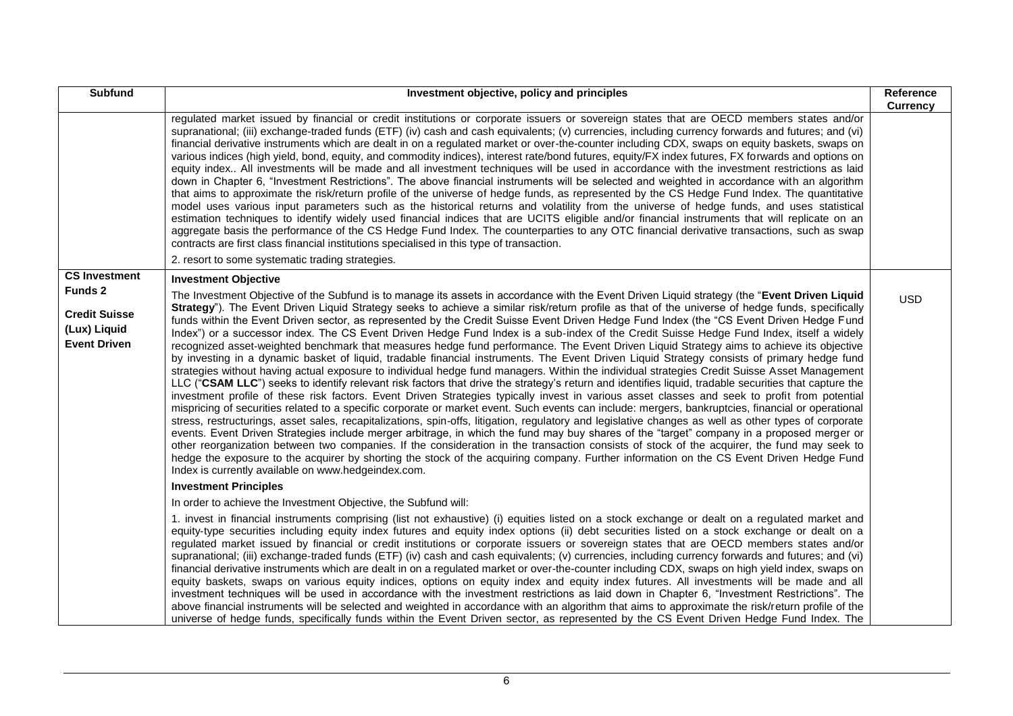| <b>Subfund</b>                                                                | Investment objective, policy and principles                                                                                                                                                                                                                                                                                                                                                                                                                                                                                                                                                                                                                                                                                                                                                                                                                                                                                                                                                                                                                                                                                                                                                                                                                                                                                                                                                                                                                                                                                                                                                                                                                                                                                                                                                                                                                                                                                                                                                                                                                                                                                                                   | Reference<br><b>Currency</b> |
|-------------------------------------------------------------------------------|---------------------------------------------------------------------------------------------------------------------------------------------------------------------------------------------------------------------------------------------------------------------------------------------------------------------------------------------------------------------------------------------------------------------------------------------------------------------------------------------------------------------------------------------------------------------------------------------------------------------------------------------------------------------------------------------------------------------------------------------------------------------------------------------------------------------------------------------------------------------------------------------------------------------------------------------------------------------------------------------------------------------------------------------------------------------------------------------------------------------------------------------------------------------------------------------------------------------------------------------------------------------------------------------------------------------------------------------------------------------------------------------------------------------------------------------------------------------------------------------------------------------------------------------------------------------------------------------------------------------------------------------------------------------------------------------------------------------------------------------------------------------------------------------------------------------------------------------------------------------------------------------------------------------------------------------------------------------------------------------------------------------------------------------------------------------------------------------------------------------------------------------------------------|------------------------------|
|                                                                               | regulated market issued by financial or credit institutions or corporate issuers or sovereign states that are OECD members states and/or<br>supranational; (iii) exchange-traded funds (ETF) (iv) cash and cash equivalents; (v) currencies, including currency forwards and futures; and (vi)<br>financial derivative instruments which are dealt in on a regulated market or over-the-counter including CDX, swaps on equity baskets, swaps on<br>various indices (high yield, bond, equity, and commodity indices), interest rate/bond futures, equity/FX index futures, FX forwards and options on<br>equity index All investments will be made and all investment techniques will be used in accordance with the investment restrictions as laid<br>down in Chapter 6, "Investment Restrictions". The above financial instruments will be selected and weighted in accordance with an algorithm<br>that aims to approximate the risk/return profile of the universe of hedge funds, as represented by the CS Hedge Fund Index. The quantitative<br>model uses various input parameters such as the historical returns and volatility from the universe of hedge funds, and uses statistical<br>estimation techniques to identify widely used financial indices that are UCITS eligible and/or financial instruments that will replicate on an<br>aggregate basis the performance of the CS Hedge Fund Index. The counterparties to any OTC financial derivative transactions, such as swap<br>contracts are first class financial institutions specialised in this type of transaction.<br>2. resort to some systematic trading strategies.                                                                                                                                                                                                                                                                                                                                                                                                                                                                                                              |                              |
| <b>CS Investment</b>                                                          | <b>Investment Objective</b>                                                                                                                                                                                                                                                                                                                                                                                                                                                                                                                                                                                                                                                                                                                                                                                                                                                                                                                                                                                                                                                                                                                                                                                                                                                                                                                                                                                                                                                                                                                                                                                                                                                                                                                                                                                                                                                                                                                                                                                                                                                                                                                                   |                              |
| <b>Funds 2</b><br><b>Credit Suisse</b><br>(Lux) Liquid<br><b>Event Driven</b> | The Investment Objective of the Subfund is to manage its assets in accordance with the Event Driven Liquid strategy (the "Event Driven Liquid<br>Strategy"). The Event Driven Liquid Strategy seeks to achieve a similar risk/return profile as that of the universe of hedge funds, specifically<br>funds within the Event Driven sector, as represented by the Credit Suisse Event Driven Hedge Fund Index (the "CS Event Driven Hedge Fund<br>Index") or a successor index. The CS Event Driven Hedge Fund Index is a sub-index of the Credit Suisse Hedge Fund Index, itself a widely<br>recognized asset-weighted benchmark that measures hedge fund performance. The Event Driven Liquid Strategy aims to achieve its objective<br>by investing in a dynamic basket of liquid, tradable financial instruments. The Event Driven Liquid Strategy consists of primary hedge fund<br>strategies without having actual exposure to individual hedge fund managers. Within the individual strategies Credit Suisse Asset Management<br>LLC ("CSAM LLC") seeks to identify relevant risk factors that drive the strategy's return and identifies liquid, tradable securities that capture the<br>investment profile of these risk factors. Event Driven Strategies typically invest in various asset classes and seek to profit from potential<br>mispricing of securities related to a specific corporate or market event. Such events can include: mergers, bankruptcies, financial or operational<br>stress, restructurings, asset sales, recapitalizations, spin-offs, litigation, regulatory and legislative changes as well as other types of corporate<br>events. Event Driven Strategies include merger arbitrage, in which the fund may buy shares of the "target" company in a proposed merger or<br>other reorganization between two companies. If the consideration in the transaction consists of stock of the acquirer, the fund may seek to<br>hedge the exposure to the acquirer by shorting the stock of the acquiring company. Further information on the CS Event Driven Hedge Fund<br>Index is currently available on www.hedgeindex.com. | <b>USD</b>                   |
|                                                                               | <b>Investment Principles</b>                                                                                                                                                                                                                                                                                                                                                                                                                                                                                                                                                                                                                                                                                                                                                                                                                                                                                                                                                                                                                                                                                                                                                                                                                                                                                                                                                                                                                                                                                                                                                                                                                                                                                                                                                                                                                                                                                                                                                                                                                                                                                                                                  |                              |
|                                                                               | In order to achieve the Investment Objective, the Subfund will:                                                                                                                                                                                                                                                                                                                                                                                                                                                                                                                                                                                                                                                                                                                                                                                                                                                                                                                                                                                                                                                                                                                                                                                                                                                                                                                                                                                                                                                                                                                                                                                                                                                                                                                                                                                                                                                                                                                                                                                                                                                                                               |                              |
|                                                                               | 1. invest in financial instruments comprising (list not exhaustive) (i) equities listed on a stock exchange or dealt on a regulated market and<br>equity-type securities including equity index futures and equity index options (ii) debt securities listed on a stock exchange or dealt on a<br>regulated market issued by financial or credit institutions or corporate issuers or sovereign states that are OECD members states and/or<br>supranational; (iii) exchange-traded funds (ETF) (iv) cash and cash equivalents; (v) currencies, including currency forwards and futures; and (vi)<br>financial derivative instruments which are dealt in on a regulated market or over-the-counter including CDX, swaps on high yield index, swaps on<br>equity baskets, swaps on various equity indices, options on equity index and equity index futures. All investments will be made and all<br>investment techniques will be used in accordance with the investment restrictions as laid down in Chapter 6, "Investment Restrictions". The<br>above financial instruments will be selected and weighted in accordance with an algorithm that aims to approximate the risk/return profile of the<br>universe of hedge funds, specifically funds within the Event Driven sector, as represented by the CS Event Driven Hedge Fund Index. The                                                                                                                                                                                                                                                                                                                                                                                                                                                                                                                                                                                                                                                                                                                                                                                                                |                              |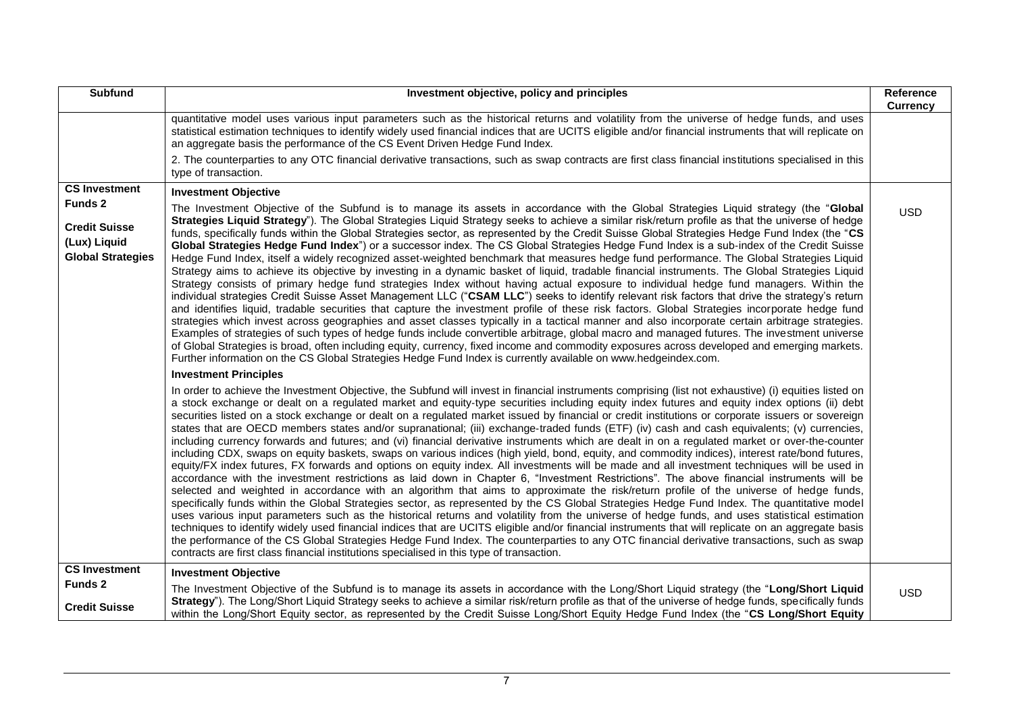| <b>Subfund</b>                                                   | Investment objective, policy and principles                                                                                                                                                                                                                                                                                                                                                                                                                                                                                                                                                                                                                                                                                                                                                                                                                                                                                                                                                                                                                                                                                                                                                                                                                                                                                                                                                                                                                                                                                                                                                                                                                                                                                                                                                                                                                                                                                                                                                                                                                | Reference<br><b>Currency</b> |
|------------------------------------------------------------------|------------------------------------------------------------------------------------------------------------------------------------------------------------------------------------------------------------------------------------------------------------------------------------------------------------------------------------------------------------------------------------------------------------------------------------------------------------------------------------------------------------------------------------------------------------------------------------------------------------------------------------------------------------------------------------------------------------------------------------------------------------------------------------------------------------------------------------------------------------------------------------------------------------------------------------------------------------------------------------------------------------------------------------------------------------------------------------------------------------------------------------------------------------------------------------------------------------------------------------------------------------------------------------------------------------------------------------------------------------------------------------------------------------------------------------------------------------------------------------------------------------------------------------------------------------------------------------------------------------------------------------------------------------------------------------------------------------------------------------------------------------------------------------------------------------------------------------------------------------------------------------------------------------------------------------------------------------------------------------------------------------------------------------------------------------|------------------------------|
|                                                                  | quantitative model uses various input parameters such as the historical returns and volatility from the universe of hedge funds, and uses<br>statistical estimation techniques to identify widely used financial indices that are UCITS eligible and/or financial instruments that will replicate on<br>an aggregate basis the performance of the CS Event Driven Hedge Fund Index.                                                                                                                                                                                                                                                                                                                                                                                                                                                                                                                                                                                                                                                                                                                                                                                                                                                                                                                                                                                                                                                                                                                                                                                                                                                                                                                                                                                                                                                                                                                                                                                                                                                                        |                              |
|                                                                  | 2. The counterparties to any OTC financial derivative transactions, such as swap contracts are first class financial institutions specialised in this<br>type of transaction.                                                                                                                                                                                                                                                                                                                                                                                                                                                                                                                                                                                                                                                                                                                                                                                                                                                                                                                                                                                                                                                                                                                                                                                                                                                                                                                                                                                                                                                                                                                                                                                                                                                                                                                                                                                                                                                                              |                              |
| <b>CS Investment</b>                                             | <b>Investment Objective</b>                                                                                                                                                                                                                                                                                                                                                                                                                                                                                                                                                                                                                                                                                                                                                                                                                                                                                                                                                                                                                                                                                                                                                                                                                                                                                                                                                                                                                                                                                                                                                                                                                                                                                                                                                                                                                                                                                                                                                                                                                                |                              |
| Funds 2                                                          | The Investment Objective of the Subfund is to manage its assets in accordance with the Global Strategies Liquid strategy (the "Global                                                                                                                                                                                                                                                                                                                                                                                                                                                                                                                                                                                                                                                                                                                                                                                                                                                                                                                                                                                                                                                                                                                                                                                                                                                                                                                                                                                                                                                                                                                                                                                                                                                                                                                                                                                                                                                                                                                      | <b>USD</b>                   |
| <b>Credit Suisse</b><br>(Lux) Liquid<br><b>Global Strategies</b> | Strategies Liquid Strategy"). The Global Strategies Liquid Strategy seeks to achieve a similar risk/return profile as that the universe of hedge<br>funds, specifically funds within the Global Strategies sector, as represented by the Credit Suisse Global Strategies Hedge Fund Index (the "CS<br>Global Strategies Hedge Fund Index") or a successor index. The CS Global Strategies Hedge Fund Index is a sub-index of the Credit Suisse<br>Hedge Fund Index, itself a widely recognized asset-weighted benchmark that measures hedge fund performance. The Global Strategies Liquid<br>Strategy aims to achieve its objective by investing in a dynamic basket of liquid, tradable financial instruments. The Global Strategies Liquid<br>Strategy consists of primary hedge fund strategies Index without having actual exposure to individual hedge fund managers. Within the<br>individual strategies Credit Suisse Asset Management LLC ("CSAM LLC") seeks to identify relevant risk factors that drive the strategy's return<br>and identifies liquid, tradable securities that capture the investment profile of these risk factors. Global Strategies incorporate hedge fund<br>strategies which invest across geographies and asset classes typically in a tactical manner and also incorporate certain arbitrage strategies.<br>Examples of strategies of such types of hedge funds include convertible arbitrage, global macro and managed futures. The investment universe<br>of Global Strategies is broad, often including equity, currency, fixed income and commodity exposures across developed and emerging markets.<br>Further information on the CS Global Strategies Hedge Fund Index is currently available on www.hedgeindex.com.                                                                                                                                                                                                                                                                                             |                              |
|                                                                  | <b>Investment Principles</b>                                                                                                                                                                                                                                                                                                                                                                                                                                                                                                                                                                                                                                                                                                                                                                                                                                                                                                                                                                                                                                                                                                                                                                                                                                                                                                                                                                                                                                                                                                                                                                                                                                                                                                                                                                                                                                                                                                                                                                                                                               |                              |
|                                                                  | In order to achieve the Investment Objective, the Subfund will invest in financial instruments comprising (list not exhaustive) (i) equities listed on<br>a stock exchange or dealt on a regulated market and equity-type securities including equity index futures and equity index options (ii) debt<br>securities listed on a stock exchange or dealt on a regulated market issued by financial or credit institutions or corporate issuers or sovereign<br>states that are OECD members states and/or supranational; (iii) exchange-traded funds (ETF) (iv) cash and cash equivalents; (v) currencies,<br>including currency forwards and futures; and (vi) financial derivative instruments which are dealt in on a regulated market or over-the-counter<br>including CDX, swaps on equity baskets, swaps on various indices (high yield, bond, equity, and commodity indices), interest rate/bond futures,<br>equity/FX index futures, FX forwards and options on equity index. All investments will be made and all investment techniques will be used in<br>accordance with the investment restrictions as laid down in Chapter 6, "Investment Restrictions". The above financial instruments will be<br>selected and weighted in accordance with an algorithm that aims to approximate the risk/return profile of the universe of hedge funds,<br>specifically funds within the Global Strategies sector, as represented by the CS Global Strategies Hedge Fund Index. The quantitative model<br>uses various input parameters such as the historical returns and volatility from the universe of hedge funds, and uses statistical estimation<br>techniques to identify widely used financial indices that are UCITS eligible and/or financial instruments that will replicate on an aggregate basis<br>the performance of the CS Global Strategies Hedge Fund Index. The counterparties to any OTC financial derivative transactions, such as swap<br>contracts are first class financial institutions specialised in this type of transaction. |                              |
| <b>CS Investment</b>                                             | <b>Investment Objective</b>                                                                                                                                                                                                                                                                                                                                                                                                                                                                                                                                                                                                                                                                                                                                                                                                                                                                                                                                                                                                                                                                                                                                                                                                                                                                                                                                                                                                                                                                                                                                                                                                                                                                                                                                                                                                                                                                                                                                                                                                                                |                              |
| Funds 2<br><b>Credit Suisse</b>                                  | The Investment Objective of the Subfund is to manage its assets in accordance with the Long/Short Liquid strategy (the "Long/Short Liquid<br>Strategy"). The Long/Short Liquid Strategy seeks to achieve a similar risk/return profile as that of the universe of hedge funds, specifically funds                                                                                                                                                                                                                                                                                                                                                                                                                                                                                                                                                                                                                                                                                                                                                                                                                                                                                                                                                                                                                                                                                                                                                                                                                                                                                                                                                                                                                                                                                                                                                                                                                                                                                                                                                          | <b>USD</b>                   |
|                                                                  | within the Long/Short Equity sector, as represented by the Credit Suisse Long/Short Equity Hedge Fund Index (the "CS Long/Short Equity                                                                                                                                                                                                                                                                                                                                                                                                                                                                                                                                                                                                                                                                                                                                                                                                                                                                                                                                                                                                                                                                                                                                                                                                                                                                                                                                                                                                                                                                                                                                                                                                                                                                                                                                                                                                                                                                                                                     |                              |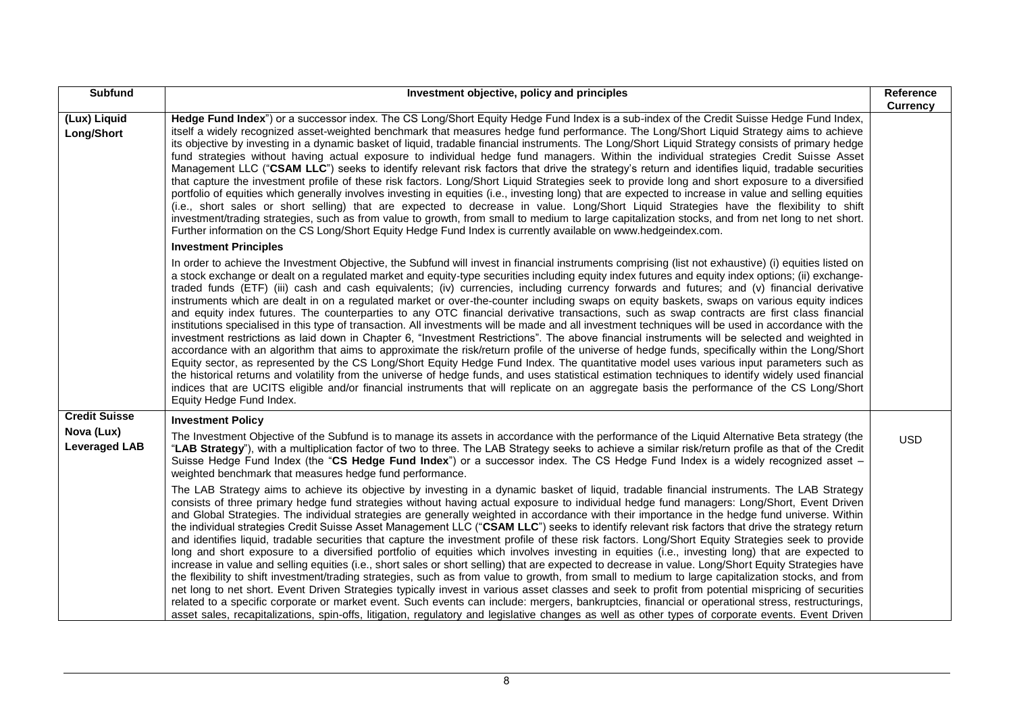| <b>Subfund</b>                     | Investment objective, policy and principles                                                                                                                                                                                                                                                                                                                                                                                                                                                                                                                                                                                                                                                                                                                                                                                                                                                                                                                                                                                                                                                                                                                                                                                                                                                                                                                                                                                                                                                                                                                                                                                                                                                           | Reference<br><b>Currency</b> |
|------------------------------------|-------------------------------------------------------------------------------------------------------------------------------------------------------------------------------------------------------------------------------------------------------------------------------------------------------------------------------------------------------------------------------------------------------------------------------------------------------------------------------------------------------------------------------------------------------------------------------------------------------------------------------------------------------------------------------------------------------------------------------------------------------------------------------------------------------------------------------------------------------------------------------------------------------------------------------------------------------------------------------------------------------------------------------------------------------------------------------------------------------------------------------------------------------------------------------------------------------------------------------------------------------------------------------------------------------------------------------------------------------------------------------------------------------------------------------------------------------------------------------------------------------------------------------------------------------------------------------------------------------------------------------------------------------------------------------------------------------|------------------------------|
| (Lux) Liquid<br>Long/Short         | Hedge Fund Index") or a successor index. The CS Long/Short Equity Hedge Fund Index is a sub-index of the Credit Suisse Hedge Fund Index,<br>itself a widely recognized asset-weighted benchmark that measures hedge fund performance. The Long/Short Liquid Strategy aims to achieve<br>its objective by investing in a dynamic basket of liquid, tradable financial instruments. The Long/Short Liquid Strategy consists of primary hedge<br>fund strategies without having actual exposure to individual hedge fund managers. Within the individual strategies Credit Suisse Asset<br>Management LLC ("CSAM LLC") seeks to identify relevant risk factors that drive the strategy's return and identifies liquid, tradable securities<br>that capture the investment profile of these risk factors. Long/Short Liquid Strategies seek to provide long and short exposure to a diversified<br>portfolio of equities which generally involves investing in equities (i.e., investing long) that are expected to increase in value and selling equities<br>(i.e., short sales or short selling) that are expected to decrease in value. Long/Short Liquid Strategies have the flexibility to shift<br>investment/trading strategies, such as from value to growth, from small to medium to large capitalization stocks, and from net long to net short.<br>Further information on the CS Long/Short Equity Hedge Fund Index is currently available on www.hedgeindex.com.                                                                                                                                                                                                                              |                              |
|                                    | <b>Investment Principles</b>                                                                                                                                                                                                                                                                                                                                                                                                                                                                                                                                                                                                                                                                                                                                                                                                                                                                                                                                                                                                                                                                                                                                                                                                                                                                                                                                                                                                                                                                                                                                                                                                                                                                          |                              |
|                                    | In order to achieve the Investment Objective, the Subfund will invest in financial instruments comprising (list not exhaustive) (i) equities listed on<br>a stock exchange or dealt on a regulated market and equity-type securities including equity index futures and equity index options; (ii) exchange-<br>traded funds (ETF) (iii) cash and cash equivalents; (iv) currencies, including currency forwards and futures; and (v) financial derivative<br>instruments which are dealt in on a regulated market or over-the-counter including swaps on equity baskets, swaps on various equity indices<br>and equity index futures. The counterparties to any OTC financial derivative transactions, such as swap contracts are first class financial<br>institutions specialised in this type of transaction. All investments will be made and all investment techniques will be used in accordance with the<br>investment restrictions as laid down in Chapter 6, "Investment Restrictions". The above financial instruments will be selected and weighted in<br>accordance with an algorithm that aims to approximate the risk/return profile of the universe of hedge funds, specifically within the Long/Short<br>Equity sector, as represented by the CS Long/Short Equity Hedge Fund Index. The quantitative model uses various input parameters such as<br>the historical returns and volatility from the universe of hedge funds, and uses statistical estimation techniques to identify widely used financial<br>indices that are UCITS eligible and/or financial instruments that will replicate on an aggregate basis the performance of the CS Long/Short<br>Equity Hedge Fund Index. |                              |
| <b>Credit Suisse</b>               | <b>Investment Policy</b>                                                                                                                                                                                                                                                                                                                                                                                                                                                                                                                                                                                                                                                                                                                                                                                                                                                                                                                                                                                                                                                                                                                                                                                                                                                                                                                                                                                                                                                                                                                                                                                                                                                                              |                              |
| Nova (Lux)<br><b>Leveraged LAB</b> | The Investment Objective of the Subfund is to manage its assets in accordance with the performance of the Liquid Alternative Beta strategy (the<br>"LAB Strategy"), with a multiplication factor of two to three. The LAB Strategy seeks to achieve a similar risk/return profile as that of the Credit<br>Suisse Hedge Fund Index (the "CS Hedge Fund Index") or a successor index. The CS Hedge Fund Index is a widely recognized asset -<br>weighted benchmark that measures hedge fund performance.                                                                                                                                                                                                                                                                                                                                                                                                                                                                                                                                                                                                                                                                                                                                                                                                                                                                                                                                                                                                                                                                                                                                                                                               | <b>USD</b>                   |
|                                    | The LAB Strategy aims to achieve its objective by investing in a dynamic basket of liquid, tradable financial instruments. The LAB Strategy<br>consists of three primary hedge fund strategies without having actual exposure to individual hedge fund managers: Long/Short, Event Driven<br>and Global Strategies. The individual strategies are generally weighted in accordance with their importance in the hedge fund universe. Within<br>the individual strategies Credit Suisse Asset Management LLC ("CSAM LLC") seeks to identify relevant risk factors that drive the strategy return<br>and identifies liquid, tradable securities that capture the investment profile of these risk factors. Long/Short Equity Strategies seek to provide<br>long and short exposure to a diversified portfolio of equities which involves investing in equities (i.e., investing long) that are expected to<br>increase in value and selling equities (i.e., short sales or short selling) that are expected to decrease in value. Long/Short Equity Strategies have<br>the flexibility to shift investment/trading strategies, such as from value to growth, from small to medium to large capitalization stocks, and from<br>net long to net short. Event Driven Strategies typically invest in various asset classes and seek to profit from potential mispricing of securities<br>related to a specific corporate or market event. Such events can include: mergers, bankruptcies, financial or operational stress, restructurings,<br>asset sales, recapitalizations, spin-offs, litigation, regulatory and legislative changes as well as other types of corporate events. Event Driven            |                              |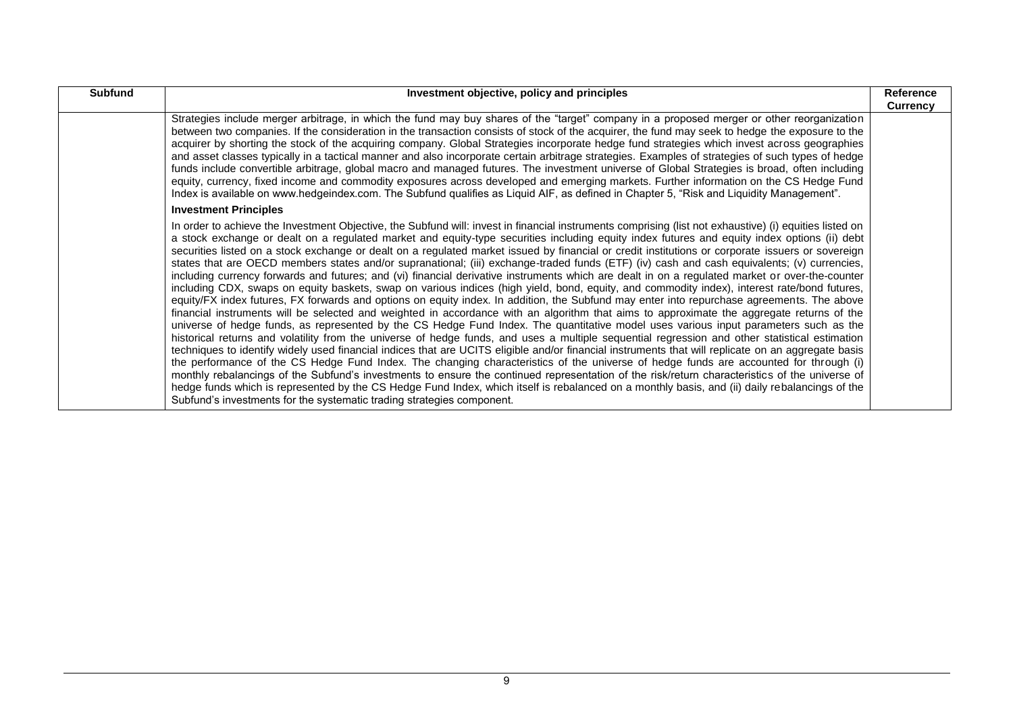| <b>Subfund</b> | Investment objective, policy and principles                                                                                                                                                                                                                                                                                                                                                                                                                                                                                                                                                                                                                                                                                                                                                                                                                                                                                                                                                                                                                                                                                                                                                                                                                                                                                                                                                                                                                                                                                                                                                                                                                                                                                                                                                                                                                                                                                                                                                                                                                                                                                                                                       | Reference<br><b>Currency</b> |
|----------------|-----------------------------------------------------------------------------------------------------------------------------------------------------------------------------------------------------------------------------------------------------------------------------------------------------------------------------------------------------------------------------------------------------------------------------------------------------------------------------------------------------------------------------------------------------------------------------------------------------------------------------------------------------------------------------------------------------------------------------------------------------------------------------------------------------------------------------------------------------------------------------------------------------------------------------------------------------------------------------------------------------------------------------------------------------------------------------------------------------------------------------------------------------------------------------------------------------------------------------------------------------------------------------------------------------------------------------------------------------------------------------------------------------------------------------------------------------------------------------------------------------------------------------------------------------------------------------------------------------------------------------------------------------------------------------------------------------------------------------------------------------------------------------------------------------------------------------------------------------------------------------------------------------------------------------------------------------------------------------------------------------------------------------------------------------------------------------------------------------------------------------------------------------------------------------------|------------------------------|
|                | Strategies include merger arbitrage, in which the fund may buy shares of the "target" company in a proposed merger or other reorganization<br>between two companies. If the consideration in the transaction consists of stock of the acquirer, the fund may seek to hedge the exposure to the<br>acquirer by shorting the stock of the acquiring company. Global Strategies incorporate hedge fund strategies which invest across geographies<br>and asset classes typically in a tactical manner and also incorporate certain arbitrage strategies. Examples of strategies of such types of hedge<br>funds include convertible arbitrage, global macro and managed futures. The investment universe of Global Strategies is broad, often including<br>equity, currency, fixed income and commodity exposures across developed and emerging markets. Further information on the CS Hedge Fund<br>Index is available on www.hedgeindex.com. The Subfund qualifies as Liquid AIF, as defined in Chapter 5, "Risk and Liquidity Management".                                                                                                                                                                                                                                                                                                                                                                                                                                                                                                                                                                                                                                                                                                                                                                                                                                                                                                                                                                                                                                                                                                                                        |                              |
|                | <b>Investment Principles</b>                                                                                                                                                                                                                                                                                                                                                                                                                                                                                                                                                                                                                                                                                                                                                                                                                                                                                                                                                                                                                                                                                                                                                                                                                                                                                                                                                                                                                                                                                                                                                                                                                                                                                                                                                                                                                                                                                                                                                                                                                                                                                                                                                      |                              |
|                | In order to achieve the Investment Objective, the Subfund will: invest in financial instruments comprising (list not exhaustive) (i) equities listed on<br>a stock exchange or dealt on a regulated market and equity-type securities including equity index futures and equity index options (ii) debt<br>securities listed on a stock exchange or dealt on a regulated market issued by financial or credit institutions or corporate issuers or sovereign<br>states that are OECD members states and/or supranational; (iii) exchange-traded funds (ETF) (iv) cash and cash equivalents; (v) currencies,<br>including currency forwards and futures; and (vi) financial derivative instruments which are dealt in on a regulated market or over-the-counter<br>including CDX, swaps on equity baskets, swap on various indices (high yield, bond, equity, and commodity index), interest rate/bond futures,<br>equity/FX index futures, FX forwards and options on equity index. In addition, the Subfund may enter into repurchase agreements. The above<br>financial instruments will be selected and weighted in accordance with an algorithm that aims to approximate the aggregate returns of the<br>universe of hedge funds, as represented by the CS Hedge Fund Index. The quantitative model uses various input parameters such as the<br>historical returns and volatility from the universe of hedge funds, and uses a multiple sequential regression and other statistical estimation<br>techniques to identify widely used financial indices that are UCITS eligible and/or financial instruments that will replicate on an aggregate basis<br>the performance of the CS Hedge Fund Index. The changing characteristics of the universe of hedge funds are accounted for through (i)<br>monthly rebalancings of the Subfund's investments to ensure the continued representation of the risk/return characteristics of the universe of<br>hedge funds which is represented by the CS Hedge Fund Index, which itself is rebalanced on a monthly basis, and (ii) daily rebalancings of the<br>Subfund's investments for the systematic trading strategies component. |                              |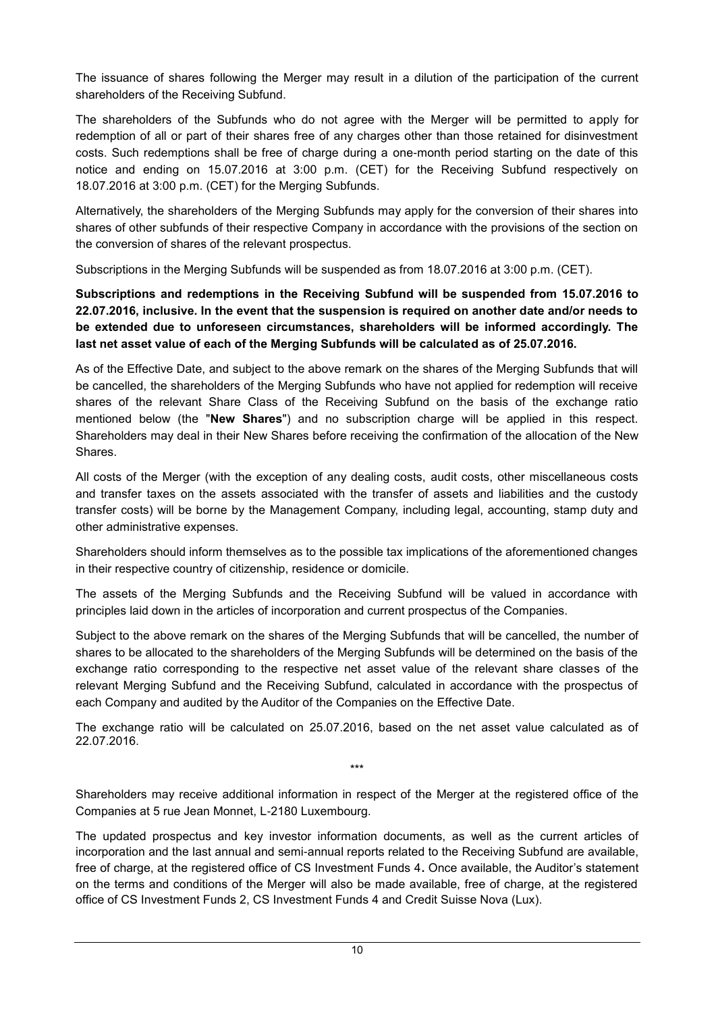The issuance of shares following the Merger may result in a dilution of the participation of the current shareholders of the Receiving Subfund.

The shareholders of the Subfunds who do not agree with the Merger will be permitted to apply for redemption of all or part of their shares free of any charges other than those retained for disinvestment costs. Such redemptions shall be free of charge during a one-month period starting on the date of this notice and ending on 15.07.2016 at 3:00 p.m. (CET) for the Receiving Subfund respectively on 18.07.2016 at 3:00 p.m. (CET) for the Merging Subfunds.

Alternatively, the shareholders of the Merging Subfunds may apply for the conversion of their shares into shares of other subfunds of their respective Company in accordance with the provisions of the section on the conversion of shares of the relevant prospectus.

Subscriptions in the Merging Subfunds will be suspended as from 18.07.2016 at 3:00 p.m. (CET).

**Subscriptions and redemptions in the Receiving Subfund will be suspended from 15.07.2016 to 22.07.2016, inclusive. In the event that the suspension is required on another date and/or needs to be extended due to unforeseen circumstances, shareholders will be informed accordingly. The last net asset value of each of the Merging Subfunds will be calculated as of 25.07.2016.**

As of the Effective Date, and subject to the above remark on the shares of the Merging Subfunds that will be cancelled, the shareholders of the Merging Subfunds who have not applied for redemption will receive shares of the relevant Share Class of the Receiving Subfund on the basis of the exchange ratio mentioned below (the "**New Shares**") and no subscription charge will be applied in this respect. Shareholders may deal in their New Shares before receiving the confirmation of the allocation of the New Shares.

All costs of the Merger (with the exception of any dealing costs, audit costs, other miscellaneous costs and transfer taxes on the assets associated with the transfer of assets and liabilities and the custody transfer costs) will be borne by the Management Company, including legal, accounting, stamp duty and other administrative expenses.

Shareholders should inform themselves as to the possible tax implications of the aforementioned changes in their respective country of citizenship, residence or domicile.

The assets of the Merging Subfunds and the Receiving Subfund will be valued in accordance with principles laid down in the articles of incorporation and current prospectus of the Companies.

Subject to the above remark on the shares of the Merging Subfunds that will be cancelled, the number of shares to be allocated to the shareholders of the Merging Subfunds will be determined on the basis of the exchange ratio corresponding to the respective net asset value of the relevant share classes of the relevant Merging Subfund and the Receiving Subfund, calculated in accordance with the prospectus of each Company and audited by the Auditor of the Companies on the Effective Date.

The exchange ratio will be calculated on 25.07.2016, based on the net asset value calculated as of 22.07.2016.

\*\*\*

Shareholders may receive additional information in respect of the Merger at the registered office of the Companies at 5 rue Jean Monnet, L-2180 Luxembourg.

The updated prospectus and key investor information documents, as well as the current articles of incorporation and the last annual and semi-annual reports related to the Receiving Subfund are available, free of charge, at the registered office of CS Investment Funds 4**.** Once available, the Auditor's statement on the terms and conditions of the Merger will also be made available, free of charge, at the registered office of CS Investment Funds 2, CS Investment Funds 4 and Credit Suisse Nova (Lux).